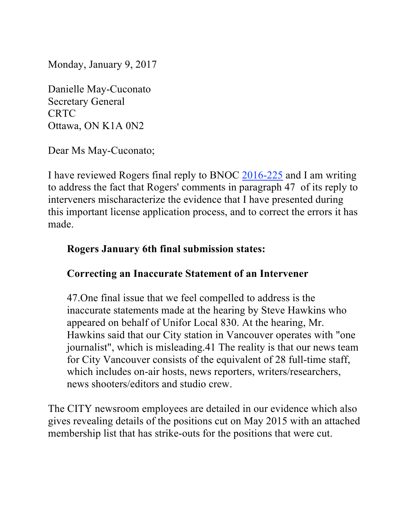Monday, January 9, 2017

Danielle May-Cuconato Secretary General CRTC Ottawa, ON K1A 0N2

Dear Ms May-Cuconato;

I have reviewed Rogers final reply to BNOC 2016-225 and I am writing to address the fact that Rogers' comments in paragraph 47 of its reply to interveners mischaracterize the evidence that I have presented during this important license application process, and to correct the errors it has made.

#### **Rogers January 6th final submission states:**

### **Correcting an Inaccurate Statement of an Intervener**

47.One final issue that we feel compelled to address is the inaccurate statements made at the hearing by Steve Hawkins who appeared on behalf of Unifor Local 830. At the hearing, Mr. Hawkins said that our City station in Vancouver operates with "one journalist", which is misleading.41 The reality is that our news team for City Vancouver consists of the equivalent of 28 full-time staff, which includes on-air hosts, news reporters, writers/researchers, news shooters/editors and studio crew.

The CITY newsroom employees are detailed in our evidence which also gives revealing details of the positions cut on May 2015 with an attached membership list that has strike-outs for the positions that were cut.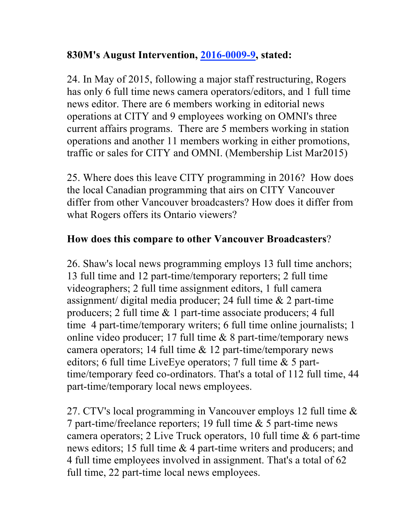### **830M's August Intervention, 2016-0009-9, stated:**

24. In May of 2015, following a major staff restructuring, Rogers has only 6 full time news camera operators/editors, and 1 full time news editor. There are 6 members working in editorial news operations at CITY and 9 employees working on OMNI's three current affairs programs. There are 5 members working in station operations and another 11 members working in either promotions, traffic or sales for CITY and OMNI. (Membership List Mar2015)

25. Where does this leave CITY programming in 2016? How does the local Canadian programming that airs on CITY Vancouver differ from other Vancouver broadcasters? How does it differ from what Rogers offers its Ontario viewers?

# **How does this compare to other Vancouver Broadcasters**?

26. Shaw's local news programming employs 13 full time anchors; 13 full time and 12 part-time/temporary reporters; 2 full time videographers; 2 full time assignment editors, 1 full camera assignment/ digital media producer; 24 full time & 2 part-time producers; 2 full time & 1 part-time associate producers; 4 full time 4 part-time/temporary writers; 6 full time online journalists; 1 online video producer; 17 full time & 8 part-time/temporary news camera operators; 14 full time & 12 part-time/temporary news editors; 6 full time LiveEye operators; 7 full time & 5 parttime/temporary feed co-ordinators. That's a total of 112 full time, 44 part-time/temporary local news employees.

27. CTV's local programming in Vancouver employs 12 full time & 7 part-time/freelance reporters; 19 full time & 5 part-time news camera operators; 2 Live Truck operators, 10 full time & 6 part-time news editors; 15 full time & 4 part-time writers and producers; and 4 full time employees involved in assignment. That's a total of 62 full time, 22 part-time local news employees.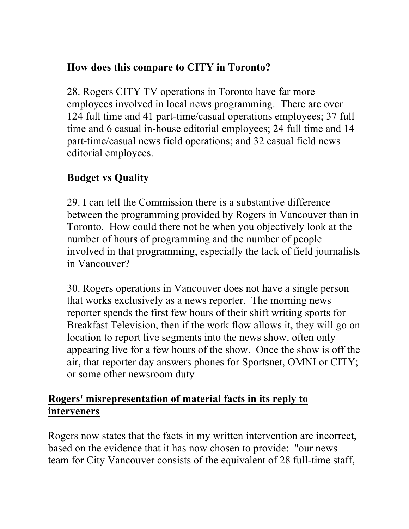## **How does this compare to CITY in Toronto?**

28. Rogers CITY TV operations in Toronto have far more employees involved in local news programming. There are over 124 full time and 41 part-time/casual operations employees; 37 full time and 6 casual in-house editorial employees; 24 full time and 14 part-time/casual news field operations; and 32 casual field news editorial employees.

# **Budget vs Quality**

29. I can tell the Commission there is a substantive difference between the programming provided by Rogers in Vancouver than in Toronto. How could there not be when you objectively look at the number of hours of programming and the number of people involved in that programming, especially the lack of field journalists in Vancouver?

30. Rogers operations in Vancouver does not have a single person that works exclusively as a news reporter. The morning news reporter spends the first few hours of their shift writing sports for Breakfast Television, then if the work flow allows it, they will go on location to report live segments into the news show, often only appearing live for a few hours of the show. Once the show is off the air, that reporter day answers phones for Sportsnet, OMNI or CITY; or some other newsroom duty

## **Rogers' misrepresentation of material facts in its reply to interveners**

Rogers now states that the facts in my written intervention are incorrect, based on the evidence that it has now chosen to provide: "our news team for City Vancouver consists of the equivalent of 28 full-time staff,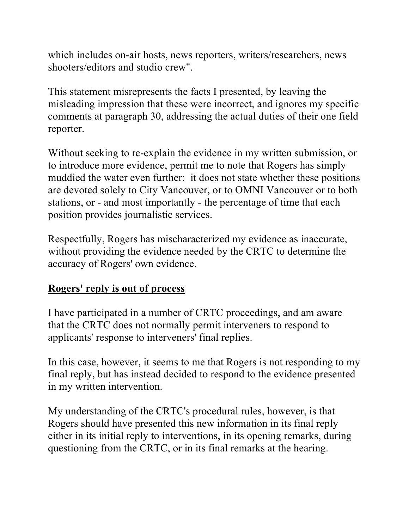which includes on-air hosts, news reporters, writers/researchers, news shooters/editors and studio crew".

This statement misrepresents the facts I presented, by leaving the misleading impression that these were incorrect, and ignores my specific comments at paragraph 30, addressing the actual duties of their one field reporter.

Without seeking to re-explain the evidence in my written submission, or to introduce more evidence, permit me to note that Rogers has simply muddied the water even further: it does not state whether these positions are devoted solely to City Vancouver, or to OMNI Vancouver or to both stations, or - and most importantly - the percentage of time that each position provides journalistic services.

Respectfully, Rogers has mischaracterized my evidence as inaccurate, without providing the evidence needed by the CRTC to determine the accuracy of Rogers' own evidence.

# **Rogers' reply is out of process**

I have participated in a number of CRTC proceedings, and am aware that the CRTC does not normally permit interveners to respond to applicants' response to interveners' final replies.

In this case, however, it seems to me that Rogers is not responding to my final reply, but has instead decided to respond to the evidence presented in my written intervention.

My understanding of the CRTC's procedural rules, however, is that Rogers should have presented this new information in its final reply either in its initial reply to interventions, in its opening remarks, during questioning from the CRTC, or in its final remarks at the hearing.